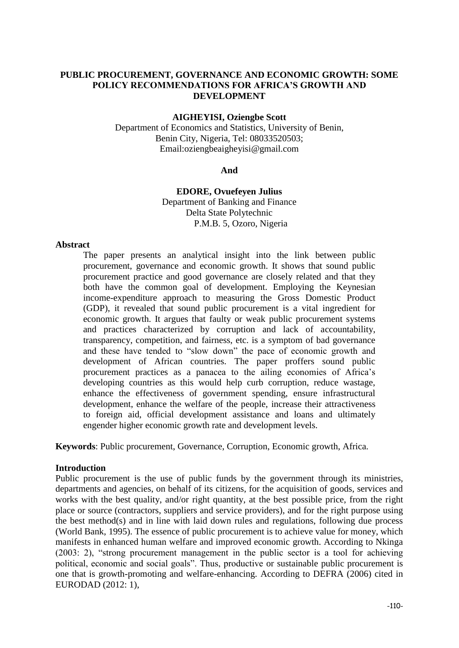# **PUBLIC PROCUREMENT, GOVERNANCE AND ECONOMIC GROWTH: SOME POLICY RECOMMENDATIONS FOR AFRICA'S GROWTH AND DEVELOPMENT**

#### **AIGHEYISI, Oziengbe Scott**

Department of Economics and Statistics, University of Benin, Benin City, Nigeria, Tel: 08033520503; Email:oziengbeaigheyisi@gmail.com

#### **And**

# **EDORE, Ovuefeyen Julius**  Department of Banking and Finance Delta State Polytechnic

P.M.B. 5, Ozoro, Nigeria

#### **Abstract**

The paper presents an analytical insight into the link between public procurement, governance and economic growth. It shows that sound public procurement practice and good governance are closely related and that they both have the common goal of development. Employing the Keynesian income-expenditure approach to measuring the Gross Domestic Product (GDP), it revealed that sound public procurement is a vital ingredient for economic growth. It argues that faulty or weak public procurement systems and practices characterized by corruption and lack of accountability, transparency, competition, and fairness, etc. is a symptom of bad governance and these have tended to "slow down" the pace of economic growth and development of African countries. The paper proffers sound public procurement practices as a panacea to the ailing economies of Africa's developing countries as this would help curb corruption, reduce wastage, enhance the effectiveness of government spending, ensure infrastructural development, enhance the welfare of the people, increase their attractiveness to foreign aid, official development assistance and loans and ultimately engender higher economic growth rate and development levels.

**Keywords**: Public procurement, Governance, Corruption, Economic growth, Africa.

## **Introduction**

Public procurement is the use of public funds by the government through its ministries, departments and agencies, on behalf of its citizens, for the acquisition of goods, services and works with the best quality, and/or right quantity, at the best possible price, from the right place or source (contractors, suppliers and service providers), and for the right purpose using the best method(s) and in line with laid down rules and regulations, following due process (World Bank, 1995). The essence of public procurement is to achieve value for money, which manifests in enhanced human welfare and improved economic growth. According to Nkinga  $(2003: 2)$ , "strong procurement management in the public sector is a tool for achieving political, economic and social goals". Thus, productive or sustainable public procurement is one that is growth-promoting and welfare-enhancing. According to DEFRA (2006) cited in EURODAD (2012: 1),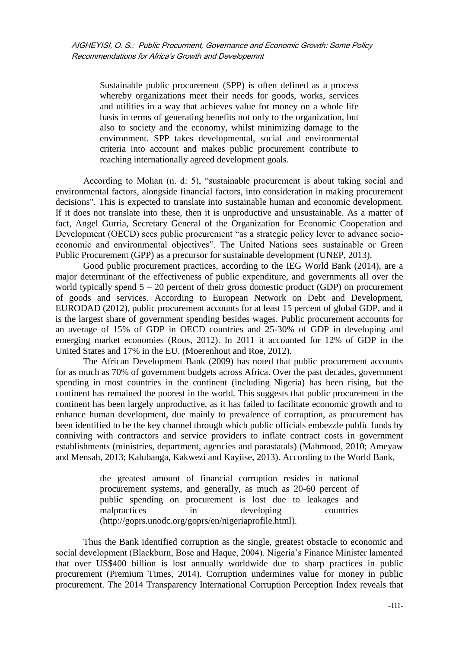Sustainable public procurement (SPP) is often defined as a process whereby organizations meet their needs for goods, works, services and utilities in a way that achieves value for money on a whole life basis in terms of generating benefits not only to the organization, but also to society and the economy, whilst minimizing damage to the environment. SPP takes developmental, social and environmental criteria into account and makes public procurement contribute to reaching internationally agreed development goals.

According to Mohan (n. d: 5), "sustainable procurement is about taking social and environmental factors, alongside financial factors, into consideration in making procurement decisions". This is expected to translate into sustainable human and economic development. If it does not translate into these, then it is unproductive and unsustainable. As a matter of fact, Angel Gurria, Secretary General of the Organization for Economic Cooperation and Development (OECD) sees public procurement "as a strategic policy lever to advance socioeconomic and environmental objectives". The United Nations sees sustainable or Green Public Procurement (GPP) as a precursor for sustainable development (UNEP, 2013).

Good public procurement practices, according to the IEG World Bank (2014), are a major determinant of the effectiveness of public expenditure, and governments all over the world typically spend  $5 - 20$  percent of their gross domestic product (GDP) on procurement of goods and services. According to European Network on Debt and Development, EURODAD (2012), public procurement accounts for at least 15 percent of global GDP, and it is the largest share of government spending besides wages. Public procurement accounts for an average of 15% of GDP in OECD countries and 25-30% of GDP in developing and emerging market economies (Roos, 2012). In 2011 it accounted for 12% of GDP in the United States and 17% in the EU. (Moerenhout and Roe, 2012).

The African Development Bank (2009) has noted that public procurement accounts for as much as 70% of government budgets across Africa. Over the past decades, government spending in most countries in the continent (including Nigeria) has been rising, but the continent has remained the poorest in the world. This suggests that public procurement in the continent has been largely unproductive, as it has failed to facilitate economic growth and to enhance human development, due mainly to prevalence of corruption, as procurement has been identified to be the key channel through which public officials embezzle public funds by conniving with contractors and service providers to inflate contract costs in government establishments (ministries, department, agencies and parastatals) (Mahmood, 2010; Ameyaw and Mensah, 2013; Kalubanga, Kakwezi and Kayiise, 2013). According to the World Bank,

> the greatest amount of financial corruption resides in national procurement systems, and generally, as much as 20-60 percent of public spending on procurement is lost due to leakages and malpractices in developing countries [\(http://goprs.unodc.org/goprs/en/nigeriaprofile.html\)](http://goprs.unodc.org/goprs/en/nigeriaprofile.html).

Thus the Bank identified corruption as the single, greatest obstacle to economic and social development (Blackburn, Bose and Haque, 2004). Nigeria's Finance Minister lamented that over US\$400 billion is lost annually worldwide due to sharp practices in public procurement (Premium Times, 2014). Corruption undermines value for money in public procurement. The 2014 Transparency International Corruption Perception Index reveals that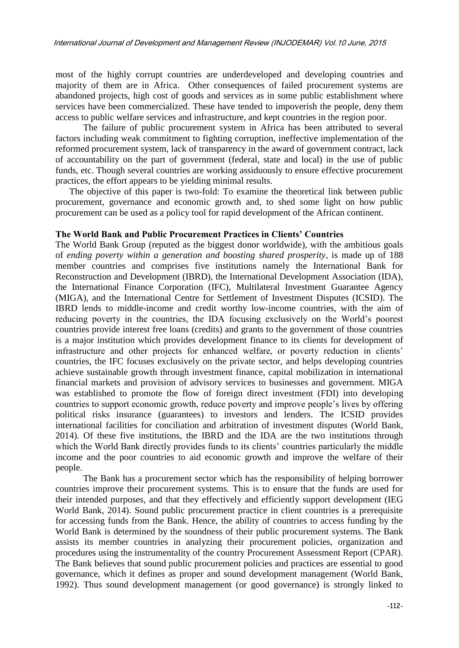most of the highly corrupt countries are underdeveloped and developing countries and majority of them are in Africa. Other consequences of failed procurement systems are abandoned projects, high cost of goods and services as in some public establishment where services have been commercialized. These have tended to impoverish the people, deny them access to public welfare services and infrastructure, and kept countries in the region poor.

The failure of public procurement system in Africa has been attributed to several factors including weak commitment to fighting corruption, ineffective implementation of the reformed procurement system, lack of transparency in the award of government contract, lack of accountability on the part of government (federal, state and local) in the use of public funds, etc. Though several countries are working assiduously to ensure effective procurement practices, the effort appears to be yielding minimal results.

The objective of this paper is two-fold: To examine the theoretical link between public procurement, governance and economic growth and, to shed some light on how public procurement can be used as a policy tool for rapid development of the African continent.

#### **The World Bank and Public Procurement Practices in Clients' Countries**

The World Bank Group (reputed as the biggest donor worldwide), with the ambitious goals of *ending poverty within a generation and boosting shared prosperity*, is made up of 188 member countries and comprises five institutions namely the International Bank for Reconstruction and Development (IBRD), the International Development Association (IDA), the International Finance Corporation (IFC), Multilateral Investment Guarantee Agency (MIGA), and the International Centre for Settlement of Investment Disputes (ICSID). The IBRD lends to middle-income and credit worthy low-income countries, with the aim of reducing poverty in the countries, the IDA focusing exclusively on the World's poorest countries provide interest free loans (credits) and grants to the government of those countries is a major institution which provides development finance to its clients for development of infrastructure and other projects for enhanced welfare, or poverty reduction in clients' countries, the IFC focuses exclusively on the private sector, and helps developing countries achieve sustainable growth through investment finance, capital mobilization in international financial markets and provision of advisory services to businesses and government. MIGA was established to promote the flow of foreign direct investment (FDI) into developing countries to support economic growth, reduce poverty and improve people's lives by offering political risks insurance (guarantees) to investors and lenders. The ICSID provides international facilities for conciliation and arbitration of investment disputes (World Bank, 2014). Of these five institutions, the IBRD and the IDA are the two institutions through which the World Bank directly provides funds to its clients' countries particularly the middle income and the poor countries to aid economic growth and improve the welfare of their people.

The Bank has a procurement sector which has the responsibility of helping borrower countries improve their procurement systems. This is to ensure that the funds are used for their intended purposes, and that they effectively and efficiently support development (IEG World Bank, 2014). Sound public procurement practice in client countries is a prerequisite for accessing funds from the Bank. Hence, the ability of countries to access funding by the World Bank is determined by the soundness of their public procurement systems. The Bank assists its member countries in analyzing their procurement policies, organization and procedures using the instrumentality of the country Procurement Assessment Report (CPAR). The Bank believes that sound public procurement policies and practices are essential to good governance, which it defines as proper and sound development management (World Bank, 1992). Thus sound development management (or good governance) is strongly linked to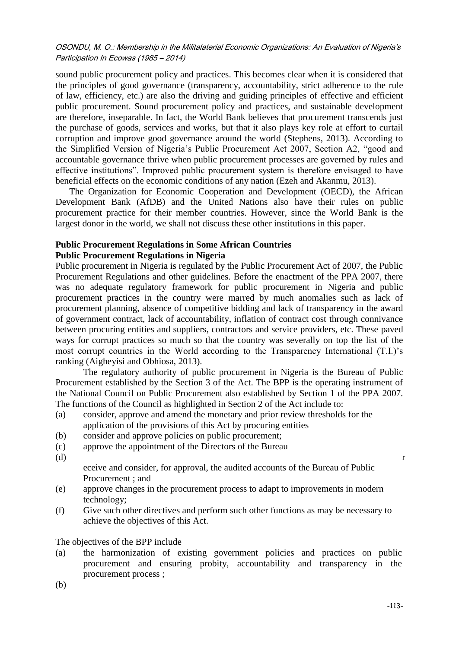sound public procurement policy and practices. This becomes clear when it is considered that the principles of good governance (transparency, accountability, strict adherence to the rule of law, efficiency, etc.) are also the driving and guiding principles of effective and efficient public procurement. Sound procurement policy and practices, and sustainable development are therefore, inseparable. In fact, the World Bank believes that procurement transcends just the purchase of goods, services and works, but that it also plays key role at effort to curtail corruption and improve good governance around the world (Stephens, 2013). According to the Simplified Version of Nigeria's Public Procurement Act 2007, Section A2, "good and accountable governance thrive when public procurement processes are governed by rules and effective institutions". Improved public procurement system is therefore envisaged to have beneficial effects on the economic conditions of any nation (Ezeh and Akanmu, 2013).

The Organization for Economic Cooperation and Development (OECD), the African Development Bank (AfDB) and the United Nations also have their rules on public procurement practice for their member countries. However, since the World Bank is the largest donor in the world, we shall not discuss these other institutions in this paper.

### **Public Procurement Regulations in Some African Countries Public Procurement Regulations in Nigeria**

Public procurement in Nigeria is regulated by the Public Procurement Act of 2007, the Public Procurement Regulations and other guidelines. Before the enactment of the PPA 2007, there was no adequate regulatory framework for public procurement in Nigeria and public procurement practices in the country were marred by much anomalies such as lack of procurement planning, absence of competitive bidding and lack of transparency in the award of government contract, lack of accountability, inflation of contract cost through connivance between procuring entities and suppliers, contractors and service providers, etc. These paved ways for corrupt practices so much so that the country was severally on top the list of the most corrupt countries in the World according to the Transparency International (T.I.)'s ranking (Aigheyisi and Obhiosa, 2013).

The regulatory authority of public procurement in Nigeria is the Bureau of Public Procurement established by the Section 3 of the Act. The BPP is the operating instrument of the National Council on Public Procurement also established by Section 1 of the PPA 2007. The functions of the Council as highlighted in Section 2 of the Act include to:

- (a) consider, approve and amend the monetary and prior review thresholds for the application of the provisions of this Act by procuring entities
- (b) consider and approve policies on public procurement;
- (c) approve the appointment of the Directors of the Bureau
- 
- $r$  r

eceive and consider, for approval, the audited accounts of the Bureau of Public Procurement ; and

- (e) approve changes in the procurement process to adapt to improvements in modern technology;
- (f) Give such other directives and perform such other functions as may be necessary to achieve the objectives of this Act.

# The objectives of the BPP include

(a) the harmonization of existing government policies and practices on public procurement and ensuring probity, accountability and transparency in the procurement process ;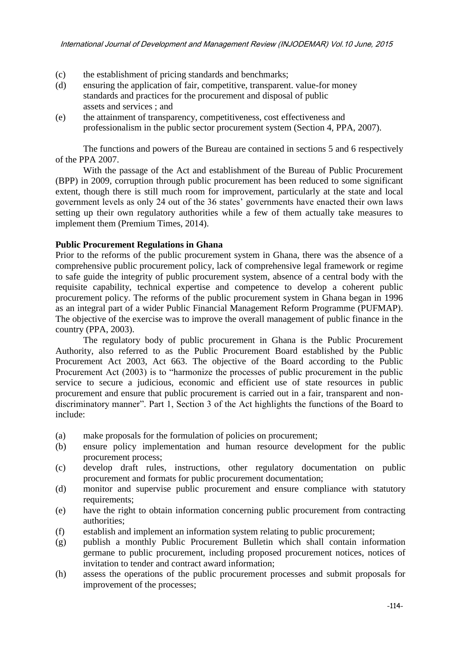- (c) the establishment of pricing standards and benchmarks;
- (d) ensuring the application of fair, competitive, transparent. value-for money standards and practices for the procurement and disposal of public assets and services ; and
- (e) the attainment of transparency, competitiveness, cost effectiveness and professionalism in the public sector procurement system (Section 4, PPA, 2007).

The functions and powers of the Bureau are contained in sections 5 and 6 respectively of the PPA 2007.

With the passage of the Act and establishment of the Bureau of Public Procurement (BPP) in 2009, corruption through public procurement has been reduced to some significant extent, though there is still much room for improvement, particularly at the state and local government levels as only 24 out of the 36 states' governments have enacted their own laws setting up their own regulatory authorities while a few of them actually take measures to implement them (Premium Times, 2014).

## **Public Procurement Regulations in Ghana**

Prior to the reforms of the public procurement system in Ghana, there was the absence of a comprehensive public procurement policy, lack of comprehensive legal framework or regime to safe guide the integrity of public procurement system, absence of a central body with the requisite capability, technical expertise and competence to develop a coherent public procurement policy. The reforms of the public procurement system in Ghana began in 1996 as an integral part of a wider Public Financial Management Reform Programme (PUFMAP). The objective of the exercise was to improve the overall management of public finance in the country (PPA, 2003).

The regulatory body of public procurement in Ghana is the Public Procurement Authority, also referred to as the Public Procurement Board established by the Public Procurement Act 2003, Act 663. The objective of the Board according to the Public Procurement Act (2003) is to "harmonize the processes of public procurement in the public service to secure a judicious, economic and efficient use of state resources in public procurement and ensure that public procurement is carried out in a fair, transparent and nondiscriminatory manner". Part 1, Section 3 of the Act highlights the functions of the Board to include:

- (a) make proposals for the formulation of policies on procurement;
- (b) ensure policy implementation and human resource development for the public procurement process;
- (c) develop draft rules, instructions, other regulatory documentation on public procurement and formats for public procurement documentation;
- (d) monitor and supervise public procurement and ensure compliance with statutory requirements;
- (e) have the right to obtain information concerning public procurement from contracting authorities;
- (f) establish and implement an information system relating to public procurement;
- (g) publish a monthly Public Procurement Bulletin which shall contain information germane to public procurement, including proposed procurement notices, notices of invitation to tender and contract award information;
- (h) assess the operations of the public procurement processes and submit proposals for improvement of the processes;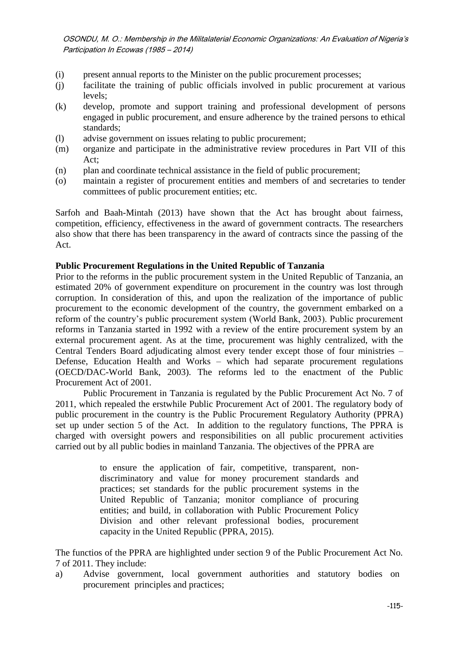- (i) present annual reports to the Minister on the public procurement processes;
- (j) facilitate the training of public officials involved in public procurement at various levels;
- (k) develop, promote and support training and professional development of persons engaged in public procurement, and ensure adherence by the trained persons to ethical standards;
- (l) advise government on issues relating to public procurement;
- (m) organize and participate in the administrative review procedures in Part VII of this Act;
- (n) plan and coordinate technical assistance in the field of public procurement;
- (o) maintain a register of procurement entities and members of and secretaries to tender committees of public procurement entities; etc.

Sarfoh and Baah-Mintah (2013) have shown that the Act has brought about fairness, competition, efficiency, effectiveness in the award of government contracts. The researchers also show that there has been transparency in the award of contracts since the passing of the Act.

# **Public Procurement Regulations in the United Republic of Tanzania**

Prior to the reforms in the public procurement system in the United Republic of Tanzania, an estimated 20% of government expenditure on procurement in the country was lost through corruption. In consideration of this, and upon the realization of the importance of public procurement to the economic development of the country, the government embarked on a reform of the country's public procurement system (World Bank, 2003). Public procurement reforms in Tanzania started in 1992 with a review of the entire procurement system by an external procurement agent. As at the time, procurement was highly centralized, with the Central Tenders Board adjudicating almost every tender except those of four ministries – Defense, Education Health and Works – which had separate procurement regulations (OECD/DAC-World Bank, 2003). The reforms led to the enactment of the Public Procurement Act of 2001.

Public Procurement in Tanzania is regulated by the Public Procurement Act No. 7 of 2011, which repealed the erstwhile Public Procurement Act of 2001. The regulatory body of public procurement in the country is the Public Procurement Regulatory Authority (PPRA) set up under section 5 of the Act. In addition to the regulatory functions, The PPRA is charged with oversight powers and responsibilities on all public procurement activities carried out by all public bodies in mainland Tanzania. The objectives of the PPRA are

> to ensure the application of fair, competitive, transparent, nondiscriminatory and value for money procurement standards and practices; set standards for the public procurement systems in the United Republic of Tanzania; monitor compliance of procuring entities; and build, in collaboration with Public Procurement Policy Division and other relevant professional bodies, procurement capacity in the United Republic (PPRA, 2015).

The functios of the PPRA are highlighted under section 9 of the Public Procurement Act No. 7 of 2011. They include:

a) Advise government, local government authorities and statutory bodies on procurement principles and practices;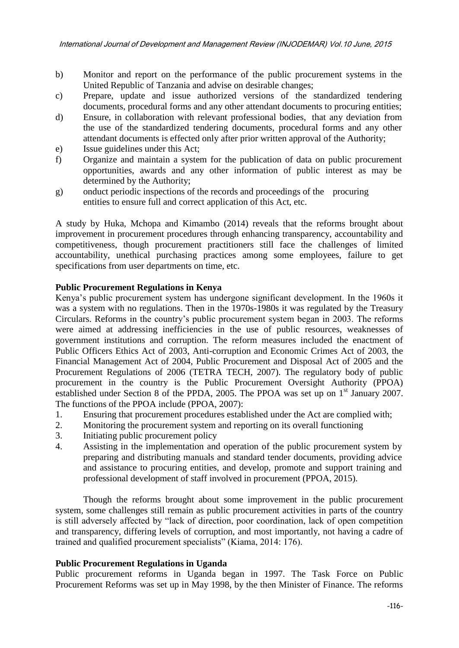- b) Monitor and report on the performance of the public procurement systems in the United Republic of Tanzania and advise on desirable changes;
- c) Prepare, update and issue authorized versions of the standardized tendering documents, procedural forms and any other attendant documents to procuring entities;
- d) Ensure, in collaboration with relevant professional bodies, that any deviation from the use of the standardized tendering documents, procedural forms and any other attendant documents is effected only after prior written approval of the Authority;
- e) Issue guidelines under this Act;
- f) Organize and maintain a system for the publication of data on public procurement opportunities, awards and any other information of public interest as may be determined by the Authority;
- g) onduct periodic inspections of the records and proceedings of the procuring entities to ensure full and correct application of this Act, etc.

A study by Huka, Mchopa and Kimambo (2014) reveals that the reforms brought about improvement in procurement procedures through enhancing transparency, accountability and competitiveness, though procurement practitioners still face the challenges of limited accountability, unethical purchasing practices among some employees, failure to get specifications from user departments on time, etc.

#### **Public Procurement Regulations in Kenya**

Kenya's public procurement system has undergone significant development. In the 1960s it was a system with no regulations. Then in the 1970s-1980s it was regulated by the Treasury Circulars. Reforms in the country's public procurement system began in 2003. The reforms were aimed at addressing inefficiencies in the use of public resources, weaknesses of government institutions and corruption. The reform measures included the enactment of Public Officers Ethics Act of 2003, Anti-corruption and Economic Crimes Act of 2003, the Financial Management Act of 2004, Public Procurement and Disposal Act of 2005 and the Procurement Regulations of 2006 (TETRA TECH, 2007). The regulatory body of public procurement in the country is the Public Procurement Oversight Authority (PPOA) established under Section 8 of the PPDA, 2005. The PPOA was set up on  $1<sup>st</sup>$  January 2007. The functions of the PPOA include (PPOA, 2007):

- 1. Ensuring that procurement procedures established under the Act are complied with;
- 2. Monitoring the procurement system and reporting on its overall functioning
- 3. Initiating public procurement policy
- 4. Assisting in the implementation and operation of the public procurement system by preparing and distributing manuals and standard tender documents, providing advice and assistance to procuring entities, and develop, promote and support training and professional development of staff involved in procurement (PPOA, 2015).

Though the reforms brought about some improvement in the public procurement system, some challenges still remain as public procurement activities in parts of the country is still adversely affected by "lack of direction, poor coordination, lack of open competition and transparency, differing levels of corruption, and most importantly, not having a cadre of trained and qualified procurement specialists" (Kiama, 2014: 176).

#### **Public Procurement Regulations in Uganda**

Public procurement reforms in Uganda began in 1997. The Task Force on Public Procurement Reforms was set up in May 1998, by the then Minister of Finance. The reforms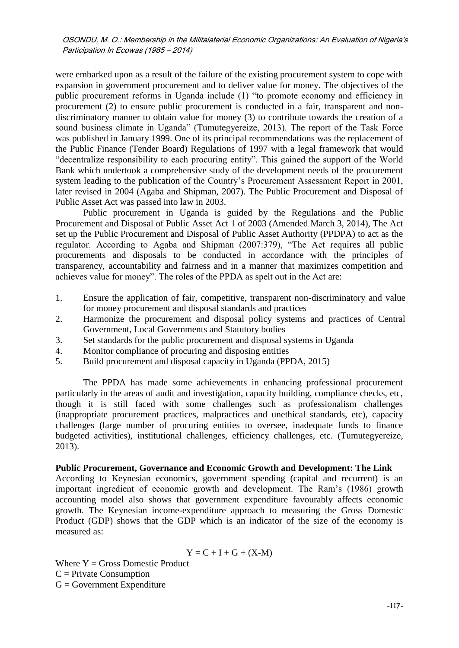were embarked upon as a result of the failure of the existing procurement system to cope with expansion in government procurement and to deliver value for money. The objectives of the public procurement reforms in Uganda include (1) "to promote economy and efficiency in procurement (2) to ensure public procurement is conducted in a fair, transparent and nondiscriminatory manner to obtain value for money (3) to contribute towards the creation of a sound business climate in Uganda" (Tumutegyereize, 2013). The report of the Task Force was published in January 1999. One of its principal recommendations was the replacement of the Public Finance (Tender Board) Regulations of 1997 with a legal framework that would "decentralize responsibility to each procuring entity". This gained the support of the World Bank which undertook a comprehensive study of the development needs of the procurement system leading to the publication of the Country's Procurement Assessment Report in 2001, later revised in 2004 (Agaba and Shipman, 2007). The Public Procurement and Disposal of Public Asset Act was passed into law in 2003.

Public procurement in Uganda is guided by the Regulations and the Public Procurement and Disposal of Public Asset Act 1 of 2003 (Amended March 3, 2014), The Act set up the Public Procurement and Disposal of Public Asset Authority (PPDPA) to act as the regulator. According to Agaba and Shipman (2007:379), "The Act requires all public procurements and disposals to be conducted in accordance with the principles of transparency, accountability and fairness and in a manner that maximizes competition and achieves value for money". The roles of the PPDA as spelt out in the Act are:

- 1. Ensure the application of fair, competitive, transparent non-discriminatory and value for money procurement and disposal standards and practices
- 2. Harmonize the procurement and disposal policy systems and practices of Central Government, Local Governments and Statutory bodies
- 3. Set standards for the public procurement and disposal systems in Uganda
- 4. Monitor compliance of procuring and disposing entities
- 5. Build procurement and disposal capacity in Uganda (PPDA, 2015)

The PPDA has made some achievements in enhancing professional procurement particularly in the areas of audit and investigation, capacity building, compliance checks, etc, though it is still faced with some challenges such as professionalism challenges (inappropriate procurement practices, malpractices and unethical standards, etc), capacity challenges (large number of procuring entities to oversee, inadequate funds to finance budgeted activities), institutional challenges, efficiency challenges, etc. (Tumutegyereize, 2013).

### **Public Procurement, Governance and Economic Growth and Development: The Link**

According to Keynesian economics, government spending (capital and recurrent) is an important ingredient of economic growth and development. The Ram's (1986) growth accounting model also shows that government expenditure favourably affects economic growth. The Keynesian income-expenditure approach to measuring the Gross Domestic Product (GDP) shows that the GDP which is an indicator of the size of the economy is measured as:

$$
Y = C + I + G + (X \text{-} M)
$$

Where  $Y = Gross$  Domestic Product  $C =$  Private Consumption  $G = Government$  Expenditure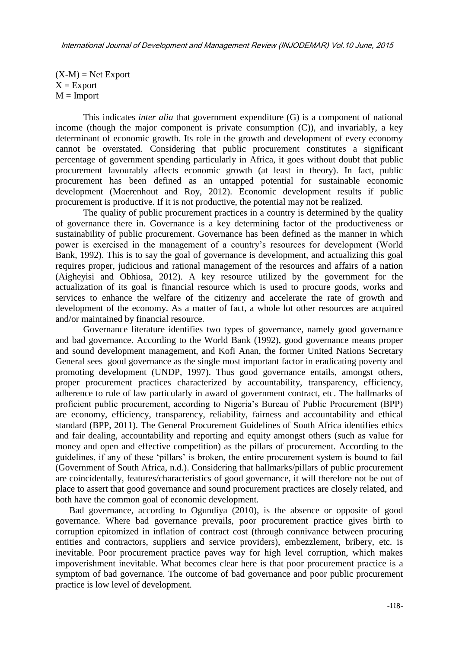$(X-M) = Net Expand$  $X =$ Export  $M =$ Import

This indicates *inter alia* that government expenditure (G) is a component of national income (though the major component is private consumption  $(C)$ ), and invariably, a key determinant of economic growth. Its role in the growth and development of every economy cannot be overstated. Considering that public procurement constitutes a significant percentage of government spending particularly in Africa, it goes without doubt that public procurement favourably affects economic growth (at least in theory). In fact, public procurement has been defined as an untapped potential for sustainable economic development (Moerenhout and Roy, 2012). Economic development results if public procurement is productive. If it is not productive, the potential may not be realized.

The quality of public procurement practices in a country is determined by the quality of governance there in. Governance is a key determining factor of the productiveness or sustainability of public procurement. Governance has been defined as the manner in which power is exercised in the management of a country's resources for development (World Bank, 1992). This is to say the goal of governance is development, and actualizing this goal requires proper, judicious and rational management of the resources and affairs of a nation (Aigheyisi and Obhiosa, 2012). A key resource utilized by the government for the actualization of its goal is financial resource which is used to procure goods, works and services to enhance the welfare of the citizenry and accelerate the rate of growth and development of the economy. As a matter of fact, a whole lot other resources are acquired and/or maintained by financial resource.

Governance literature identifies two types of governance, namely good governance and bad governance. According to the World Bank (1992), good governance means proper and sound development management, and Kofi Anan, the former United Nations Secretary General sees good governance as the single most important factor in eradicating poverty and promoting development (UNDP, 1997). Thus good governance entails, amongst others, proper procurement practices characterized by accountability, transparency, efficiency, adherence to rule of law particularly in award of government contract, etc. The hallmarks of proficient public procurement, according to Nigeria's Bureau of Public Procurement (BPP) are economy, efficiency, transparency, reliability, fairness and accountability and ethical standard (BPP, 2011). The General Procurement Guidelines of South Africa identifies ethics and fair dealing, accountability and reporting and equity amongst others (such as value for money and open and effective competition) as the pillars of procurement. According to the guidelines, if any of these 'pillars' is broken, the entire procurement system is bound to fail (Government of South Africa, n.d.). Considering that hallmarks/pillars of public procurement are coincidentally, features/characteristics of good governance, it will therefore not be out of place to assert that good governance and sound procurement practices are closely related, and both have the common goal of economic development.

Bad governance, according to Ogundiya (2010), is the absence or opposite of good governance. Where bad governance prevails, poor procurement practice gives birth to corruption epitomized in inflation of contract cost (through connivance between procuring entities and contractors, suppliers and service providers), embezzlement, bribery, etc. is inevitable. Poor procurement practice paves way for high level corruption, which makes impoverishment inevitable. What becomes clear here is that poor procurement practice is a symptom of bad governance. The outcome of bad governance and poor public procurement practice is low level of development.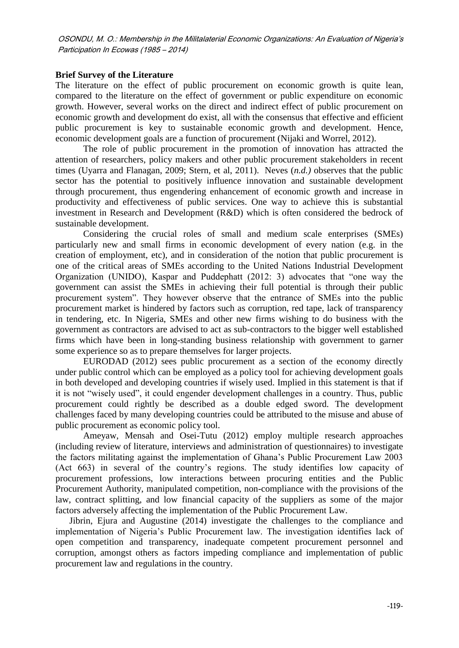### **Brief Survey of the Literature**

The literature on the effect of public procurement on economic growth is quite lean, compared to the literature on the effect of government or public expenditure on economic growth. However, several works on the direct and indirect effect of public procurement on economic growth and development do exist, all with the consensus that effective and efficient public procurement is key to sustainable economic growth and development. Hence, economic development goals are a function of procurement (Nijaki and Worrel, 2012).

The role of public procurement in the promotion of innovation has attracted the attention of researchers, policy makers and other public procurement stakeholders in recent times (Uyarra and Flanagan, 2009; Stern, et al, 2011). Neves (*n.d.)* observes that the public sector has the potential to positively influence innovation and sustainable development through procurement, thus engendering enhancement of economic growth and increase in productivity and effectiveness of public services. One way to achieve this is substantial investment in Research and Development (R&D) which is often considered the bedrock of sustainable development.

Considering the crucial roles of small and medium scale enterprises (SMEs) particularly new and small firms in economic development of every nation (e.g. in the creation of employment, etc), and in consideration of the notion that public procurement is one of the critical areas of SMEs according to the United Nations Industrial Development Organization (UNIDO), Kaspar and Puddephatt  $(2012: 3)$  advocates that "one way the government can assist the SMEs in achieving their full potential is through their public procurement system". They however observe that the entrance of SMEs into the public procurement market is hindered by factors such as corruption, red tape, lack of transparency in tendering, etc. In Nigeria, SMEs and other new firms wishing to do business with the government as contractors are advised to act as sub-contractors to the bigger well established firms which have been in long-standing business relationship with government to garner some experience so as to prepare themselves for larger projects.

EURODAD (2012) sees public procurement as a section of the economy directly under public control which can be employed as a policy tool for achieving development goals in both developed and developing countries if wisely used. Implied in this statement is that if it is not "wisely used", it could engender development challenges in a country. Thus, public procurement could rightly be described as a double edged sword. The development challenges faced by many developing countries could be attributed to the misuse and abuse of public procurement as economic policy tool.

Ameyaw, Mensah and Osei-Tutu (2012) employ multiple research approaches (including review of literature, interviews and administration of questionnaires) to investigate the factors militating against the implementation of Ghana's Public Procurement Law 2003 (Act 663) in several of the country's regions. The study identifies low capacity of procurement professions, low interactions between procuring entities and the Public Procurement Authority, manipulated competition, non-compliance with the provisions of the law, contract splitting, and low financial capacity of the suppliers as some of the major factors adversely affecting the implementation of the Public Procurement Law.

Jibrin, Ejura and Augustine (2014) investigate the challenges to the compliance and implementation of Nigeria's Public Procurement law. The investigation identifies lack of open competition and transparency, inadequate competent procurement personnel and corruption, amongst others as factors impeding compliance and implementation of public procurement law and regulations in the country.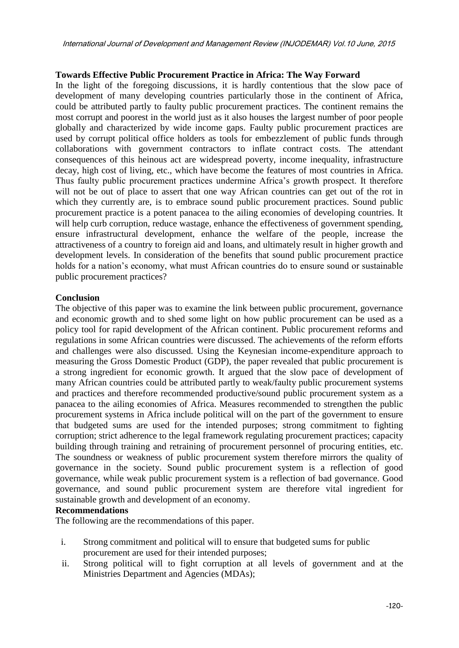## **Towards Effective Public Procurement Practice in Africa: The Way Forward**

In the light of the foregoing discussions, it is hardly contentious that the slow pace of development of many developing countries particularly those in the continent of Africa, could be attributed partly to faulty public procurement practices. The continent remains the most corrupt and poorest in the world just as it also houses the largest number of poor people globally and characterized by wide income gaps. Faulty public procurement practices are used by corrupt political office holders as tools for embezzlement of public funds through collaborations with government contractors to inflate contract costs. The attendant consequences of this heinous act are widespread poverty, income inequality, infrastructure decay, high cost of living, etc., which have become the features of most countries in Africa. Thus faulty public procurement practices undermine Africa's growth prospect. It therefore will not be out of place to assert that one way African countries can get out of the rot in which they currently are, is to embrace sound public procurement practices. Sound public procurement practice is a potent panacea to the ailing economies of developing countries. It will help curb corruption, reduce wastage, enhance the effectiveness of government spending, ensure infrastructural development, enhance the welfare of the people, increase the attractiveness of a country to foreign aid and loans, and ultimately result in higher growth and development levels. In consideration of the benefits that sound public procurement practice holds for a nation's economy, what must African countries do to ensure sound or sustainable public procurement practices?

## **Conclusion**

The objective of this paper was to examine the link between public procurement, governance and economic growth and to shed some light on how public procurement can be used as a policy tool for rapid development of the African continent. Public procurement reforms and regulations in some African countries were discussed. The achievements of the reform efforts and challenges were also discussed. Using the Keynesian income-expenditure approach to measuring the Gross Domestic Product (GDP), the paper revealed that public procurement is a strong ingredient for economic growth. It argued that the slow pace of development of many African countries could be attributed partly to weak/faulty public procurement systems and practices and therefore recommended productive/sound public procurement system as a panacea to the ailing economies of Africa. Measures recommended to strengthen the public procurement systems in Africa include political will on the part of the government to ensure that budgeted sums are used for the intended purposes; strong commitment to fighting corruption; strict adherence to the legal framework regulating procurement practices; capacity building through training and retraining of procurement personnel of procuring entities, etc. The soundness or weakness of public procurement system therefore mirrors the quality of governance in the society. Sound public procurement system is a reflection of good governance, while weak public procurement system is a reflection of bad governance. Good governance, and sound public procurement system are therefore vital ingredient for sustainable growth and development of an economy.

# **Recommendations**

The following are the recommendations of this paper.

- i. Strong commitment and political will to ensure that budgeted sums for public procurement are used for their intended purposes;
- ii. Strong political will to fight corruption at all levels of government and at the Ministries Department and Agencies (MDAs);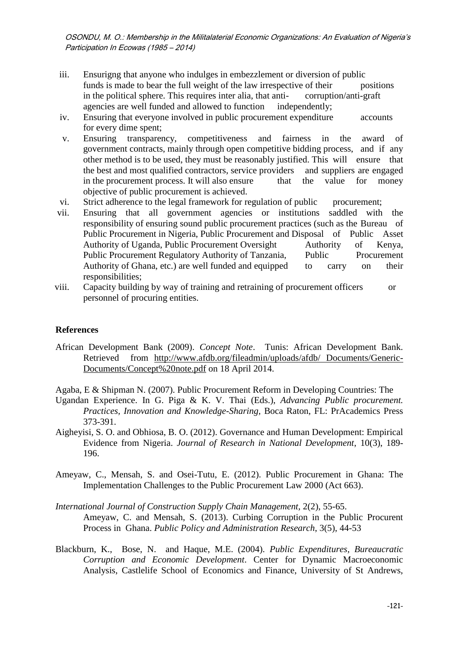- iii. Ensurigng that anyone who indulges in embezzlement or diversion of public funds is made to bear the full weight of the law irrespective of their positions in the political sphere. This requires inter alia, that anti- corruption/anti-graft agencies are well funded and allowed to function independently;
- iv. Ensuring that everyone involved in public procurement expenditure accounts for every dime spent;
- v. Ensuring transparency, competitiveness and fairness in the award of government contracts, mainly through open competitive bidding process, and if any other method is to be used, they must be reasonably justified. This will ensure that the best and most qualified contractors, service providers and suppliers are engaged in the procurement process. It will also ensure that the value for money objective of public procurement is achieved.
- vi. Strict adherence to the legal framework for regulation of public procurement;
- vii. Ensuring that all government agencies or institutions saddled with the responsibility of ensuring sound public procurement practices (such as the Bureau of Public Procurement in Nigeria, Public Procurement and Disposal of Public Asset Authority of Uganda, Public Procurement Oversight Authority of Kenya, Public Procurement Regulatory Authority of Tanzania, Public Procurement Authority of Ghana, etc.) are well funded and equipped to carry on their responsibilities;
- viii. Capacity building by way of training and retraining of procurement officers or personnel of procuring entities.

## **References**

African Development Bank (2009). *Concept Note*. Tunis: African Development Bank. Retrieved from [http://www.afdb.org/fileadmin/uploads/afdb/ Documents/Generic-](http://www.afdb.org/fileadmin/uploads/afdb/%20Documents/Generic-Documents/Concept%20note.pdf)[Documents/Concept%20note.pdf](http://www.afdb.org/fileadmin/uploads/afdb/%20Documents/Generic-Documents/Concept%20note.pdf) on 18 April 2014.

Agaba, E & Shipman N. (2007). Public Procurement Reform in Developing Countries: The

- Ugandan Experience. In G. Piga & K. V. Thai (Eds.), *Advancing Public procurement. Practices, Innovation and Knowledge-Sharing,* Boca Raton, FL: PrAcademics Press 373-391.
- Aigheyisi, S. O. and Obhiosa, B. O. (2012). Governance and Human Development: Empirical Evidence from Nigeria. *Journal of Research in National Development*, 10(3), 189- 196.
- Ameyaw, C., Mensah, S. and Osei-Tutu, E. (2012). Public Procurement in Ghana: The Implementation Challenges to the Public Procurement Law 2000 (Act 663).
- *International Journal of Construction Supply Chain Management,* 2(2), 55-65. Ameyaw, C. and Mensah, S. (2013). Curbing Corruption in the Public Procurent Process in Ghana. *Public Policy and Administration Research*, 3(5), 44-53
- Blackburn, K., Bose, N. and Haque, M.E. (2004). *Public Expenditures, Bureaucratic Corruption and Economic Development*. Center for Dynamic Macroeconomic Analysis, Castlelife School of Economics and Finance, University of St Andrews,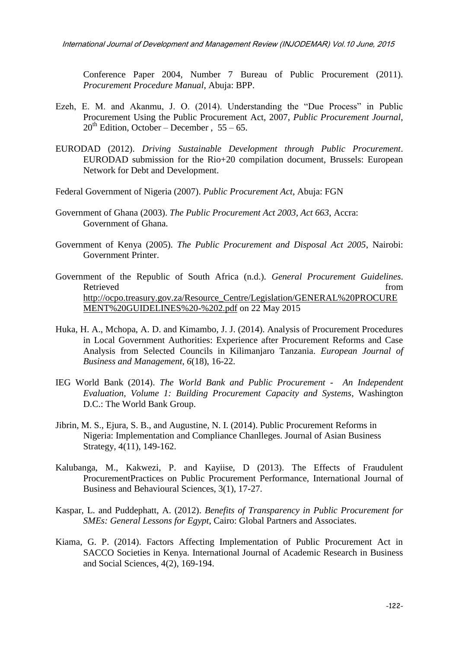Conference Paper 2004, Number 7 Bureau of Public Procurement (2011). *Procurement Procedure Manual*, Abuja: BPP.

- Ezeh, E. M. and Akanmu, J. O.  $(2014)$ . Understanding the "Due Process" in Public Procurement Using the Public Procurement Act, 2007, *Public Procurement Journal*,  $20^{th}$  Edition, October – December, 55 – 65.
- EURODAD (2012). *Driving Sustainable Development through Public Procurement*. EURODAD submission for the Rio+20 compilation document, Brussels: European Network for Debt and Development.
- Federal Government of Nigeria (2007). *Public Procurement Act*, Abuja: FGN
- Government of Ghana (2003). *The Public Procurement Act 2003, Act 663*, Accra: Government of Ghana.
- Government of Kenya (2005). *The Public Procurement and Disposal Act 2005*, Nairobi: Government Printer.
- Government of the Republic of South Africa (n.d.). *General Procurement Guidelines*. Retrieved from the state of the state of the state of the state of the state of the state of the state of the state of the state of the state of the state of the state of the state of the state of the state of the state of [http://ocpo.treasury.gov.za/Resource\\_Centre/Legislation/GENERAL%20PROCURE](http://ocpo.treasury.gov.za/Resource_Centre/Legislation/GENERAL%20PROCUREMENT%20GUIDELINES%20-%202.pdf) [MENT%20GUIDELINES%20-%202.pdf](http://ocpo.treasury.gov.za/Resource_Centre/Legislation/GENERAL%20PROCUREMENT%20GUIDELINES%20-%202.pdf) on 22 May 2015
- Huka, H. A., Mchopa, A. D. and Kimambo, J. J. (2014). Analysis of Procurement Procedures in Local Government Authorities: Experience after Procurement Reforms and Case Analysis from Selected Councils in Kilimanjaro Tanzania. *European Journal of Business and Management, 6*(18), 16-22.
- IEG World Bank (2014). *The World Bank and Public Procurement An Independent Evaluation, Volume 1: Building Procurement Capacity and Systems*, Washington D.C.: The World Bank Group.
- Jibrin, M. S., Ejura, S. B., and Augustine, N. I. (2014). Public Procurement Reforms in Nigeria: Implementation and Compliance Chanlleges. Journal of Asian Business Strategy, 4(11), 149-162.
- Kalubanga, M., Kakwezi, P. and Kayiise, D (2013). The Effects of Fraudulent ProcurementPractices on Public Procurement Performance, International Journal of Business and Behavioural Sciences, 3(1), 17-27.
- Kaspar, L. and Puddephatt, A. (2012). *Benefits of Transparency in Public Procurement for SMEs: General Lessons for Egypt*, Cairo: Global Partners and Associates.
- Kiama, G. P. (2014). Factors Affecting Implementation of Public Procurement Act in SACCO Societies in Kenya. International Journal of Academic Research in Business and Social Sciences, 4(2), 169-194.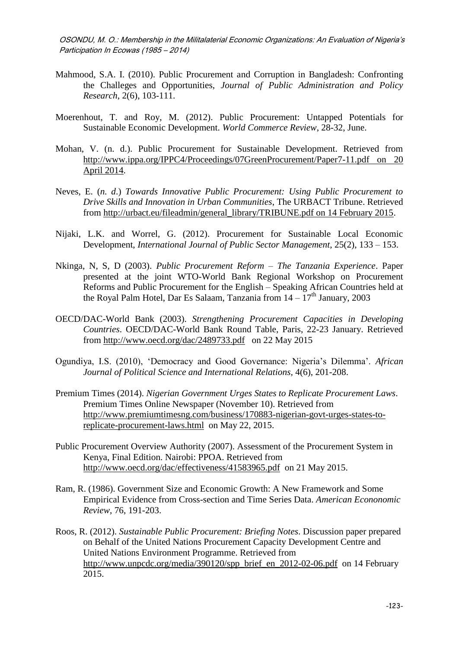- Mahmood, S.A. I. (2010). Public Procurement and Corruption in Bangladesh: Confronting the Challeges and Opportunities, *Journal of Public Administration and Policy Research*, 2(6), 103-111.
- Moerenhout, T. and Roy, M. (2012). Public Procurement: Untapped Potentials for Sustainable Economic Development. *World Commerce Review*, 28-32, June.
- Mohan, V. (n. d.). Public Procurement for Sustainable Development. Retrieved from [http://www.ippa.org/IPPC4/Proceedings/07GreenProcurement/Paper7-11.pdf on 20](http://www.ippa.org/IPPC4/Proceedings/07GreenProcurement/Paper7-11.pdf%20on%2020%20April%202014)  [April 2014.](http://www.ippa.org/IPPC4/Proceedings/07GreenProcurement/Paper7-11.pdf%20on%2020%20April%202014)
- Neves, E. (*n. d*.) *Towards Innovative Public Procurement: Using Public Procurement to Drive Skills and Innovation in Urban Communities*, The URBACT Tribune. Retrieved from [http://urbact.eu/fileadmin/general\\_library/TRIBUNE.pdf on 14 February 2015.](http://urbact.eu/fileadmin/general_library/TRIBUNE.pdf%20on%2014%20February%202015)
- Nijaki, L.K. and Worrel, G. (2012). Procurement for Sustainable Local Economic Development, *International Journal of Public Sector Management*, 25(2), 133 – 153.
- Nkinga, N, S, D (2003). *Public Procurement Reform – The Tanzania Experience*. Paper presented at the joint WTO-World Bank Regional Workshop on Procurement Reforms and Public Procurement for the English – Speaking African Countries held at the Royal Palm Hotel, Dar Es Salaam, Tanzania from  $14 - 17<sup>th</sup>$  January, 2003
- OECD/DAC-World Bank (2003). *Strengthening Procurement Capacities in Developing Countries*. OECD/DAC-World Bank Round Table, Paris, 22-23 January. Retrieved from<http://www.oecd.org/dac/2489733.pdf>on 22 May 2015
- Ogundiya, I.S. (2010), ‗Democracy and Good Governance: Nigeria's Dilemma'. *African Journal of Political Science and International Relations,* 4(6), 201-208.
- Premium Times (2014). *Nigerian Government Urges States to Replicate Procurement Laws*. Premium Times Online Newspaper (November 10). Retrieved from [http://www.premiumtimesng.com/business/170883-nigerian-govt-urges-states-to](http://www.premiumtimesng.com/business/170883-nigerian-govt-urges-states-to-replicate-procurement-laws.html)[replicate-procurement-laws.html](http://www.premiumtimesng.com/business/170883-nigerian-govt-urges-states-to-replicate-procurement-laws.html) on May 22, 2015.
- Public Procurement Overview Authority (2007). Assessment of the Procurement System in Kenya, Final Edition. Nairobi: PPOA. Retrieved from <http://www.oecd.org/dac/effectiveness/41583965.pdf>on 21 May 2015.
- Ram, R. (1986). Government Size and Economic Growth: A New Framework and Some Empirical Evidence from Cross-section and Time Series Data. *American Econonomic Review*, 76, 191-203.
- Roos, R. (2012). *Sustainable Public Procurement: Briefing Notes*. Discussion paper prepared on Behalf of the United Nations Procurement Capacity Development Centre and United Nations Environment Programme. Retrieved from [http://www.unpcdc.org/media/390120/spp\\_brief\\_en\\_2012-02-06.pdf](http://www.unpcdc.org/media/390120/spp_brief_en_2012-02-06.pdf) on 14 February 2015.